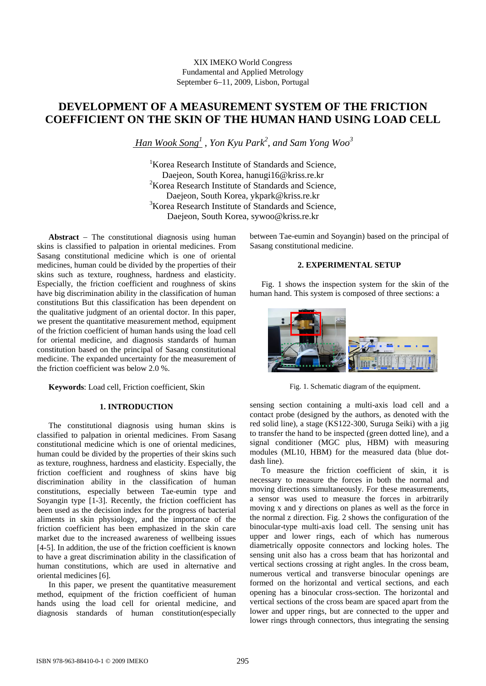# **DEVELOPMENT OF A MEASUREMENT SYSTEM OF THE FRICTION COEFFICIENT ON THE SKIN OF THE HUMAN HAND USING LOAD CELL**

 *Han Wook Song1* , *Yon Kyu Park2* , *and Sam Yong Woo<sup>3</sup>*

<sup>1</sup>Korea Research Institute of Standards and Science, Daejeon, South Korea, hanugi16@kriss.re.kr <sup>2</sup>Korea Research Institute of Standards and Science, Daejeon, South Korea, ykpark@kriss.re.kr <sup>3</sup>Korea Research Institute of Standards and Science, Daejeon, South Korea, sywoo@kriss.re.kr

**Abstract** − The constitutional diagnosis using human skins is classified to palpation in oriental medicines. From Sasang constitutional medicine which is one of oriental medicines, human could be divided by the properties of their skins such as texture, roughness, hardness and elasticity. Especially, the friction coefficient and roughness of skins have big discrimination ability in the classification of human constitutions But this classification has been dependent on the qualitative judgment of an oriental doctor. In this paper, we present the quantitative measurement method, equipment of the friction coefficient of human hands using the load cell for oriental medicine, and diagnosis standards of human constitution based on the principal of Sasang constitutional medicine. The expanded uncertainty for the measurement of the friction coefficient was below 2.0 %.

**Keywords**: Load cell, Friction coefficient, Skin

### **1. INTRODUCTION**

The constitutional diagnosis using human skins is classified to palpation in oriental medicines. From Sasang constitutional medicine which is one of oriental medicines, human could be divided by the properties of their skins such as texture, roughness, hardness and elasticity. Especially, the friction coefficient and roughness of skins have big discrimination ability in the classification of human constitutions, especially between Tae-eumin type and Soyangin type [1-3]. Recently, the friction coefficient has been used as the decision index for the progress of bacterial aliments in skin physiology, and the importance of the friction coefficient has been emphasized in the skin care market due to the increased awareness of wellbeing issues [4-5]. In addition, the use of the friction coefficient is known to have a great discrimination ability in the classification of human constitutions, which are used in alternative and oriental medicines [6].

In this paper, we present the quantitative measurement method, equipment of the friction coefficient of human hands using the load cell for oriental medicine, and diagnosis standards of human constitution(especially between Tae-eumin and Soyangin) based on the principal of Sasang constitutional medicine.

## **2. EXPERIMENTAL SETUP**

Fig. 1 shows the inspection system for the skin of the human hand. This system is composed of three sections: a



Fig. 1. Schematic diagram of the equipment.

sensing section containing a multi-axis load cell and a contact probe (designed by the authors, as denoted with the red solid line), a stage (KS122-300, Suruga Seiki) with a jig to transfer the hand to be inspected (green dotted line), and a signal conditioner (MGC plus, HBM) with measuring modules (ML10, HBM) for the measured data (blue dotdash line).

To measure the friction coefficient of skin, it is necessary to measure the forces in both the normal and moving directions simultaneously. For these measurements, a sensor was used to measure the forces in arbitrarily moving x and y directions on planes as well as the force in the normal z direction. Fig. 2 shows the configuration of the binocular-type multi-axis load cell. The sensing unit has upper and lower rings, each of which has numerous diametrically opposite connectors and locking holes. The sensing unit also has a cross beam that has horizontal and vertical sections crossing at right angles. In the cross beam, numerous vertical and transverse binocular openings are formed on the horizontal and vertical sections, and each opening has a binocular cross-section. The horizontal and vertical sections of the cross beam are spaced apart from the lower and upper rings, but are connected to the upper and lower rings through connectors, thus integrating the sensing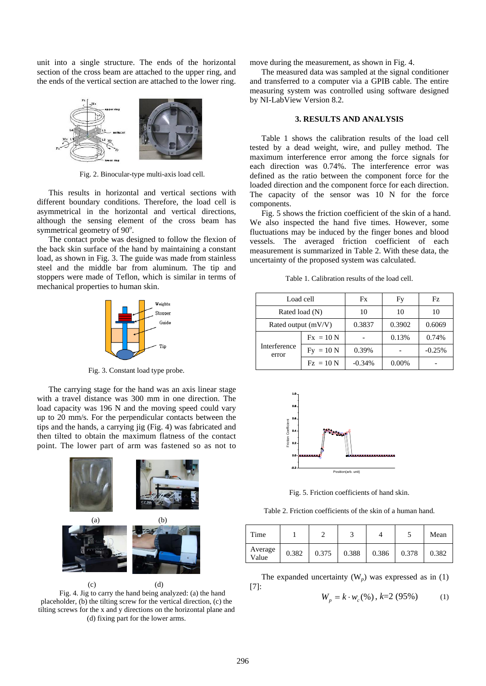unit into a single structure. The ends of the horizontal section of the cross beam are attached to the upper ring, and the ends of the vertical section are attached to the lower ring.



Fig. 2. Binocular-type multi-axis load cell.

This results in horizontal and vertical sections with different boundary conditions. Therefore, the load cell is asymmetrical in the horizontal and vertical directions, although the sensing element of the cross beam has symmetrical geometry of 90°.

The contact probe was designed to follow the flexion of the back skin surface of the hand by maintaining a constant load, as shown in Fig. 3. The guide was made from stainless steel and the middle bar from aluminum. The tip and stoppers were made of Teflon, which is similar in terms of mechanical properties to human skin.



Fig. 3. Constant load type probe.

The carrying stage for the hand was an axis linear stage with a travel distance was 300 mm in one direction. The load capacity was 196 N and the moving speed could vary up to 20 mm/s. For the perpendicular contacts between the tips and the hands, a carrying jig (Fig. 4) was fabricated and then tilted to obtain the maximum flatness of the contact point. The lower part of arm was fastened so as not to



Fig. 4. Jig to carry the hand being analyzed: (a) the hand placeholder, (b) the tilting screw for the vertical direction, (c) the tilting screws for the x and y directions on the horizontal plane and (d) fixing part for the lower arms.

move during the measurement, as shown in Fig. 4.

The measured data was sampled at the signal conditioner and transferred to a computer via a GPIB cable. The entire measuring system was controlled using software designed by NI-LabView Version 8.2.

#### **3. RESULTS AND ANALYSIS**

Table 1 shows the calibration results of the load cell tested by a dead weight, wire, and pulley method. The maximum interference error among the force signals for each direction was 0.74%. The interference error was defined as the ratio between the component force for the loaded direction and the component force for each direction. The capacity of the sensor was 10 N for the force components.

Fig. 5 shows the friction coefficient of the skin of a hand. We also inspected the hand five times. However, some fluctuations may be induced by the finger bones and blood vessels. The averaged friction coefficient of each measurement is summarized in Table 2. With these data, the uncertainty of the proposed system was calculated.

Table 1. Calibration results of the load cell.

| Load cell             |             | Fx       | Fy       | Fz.      |
|-----------------------|-------------|----------|----------|----------|
| Rated load (N)        |             | 10       | 10       | 10       |
| Rated output $(mV/V)$ |             | 0.3837   | 0.3902   | 0.6069   |
| Interference<br>error | $Fx = 10 N$ |          | 0.13%    | 0.74%    |
|                       | $Fv = 10 N$ | 0.39%    |          | $-0.25%$ |
|                       | $Fz = 10 N$ | $-0.34%$ | $0.00\%$ |          |



Fig. 5. Friction coefficients of hand skin.

Table 2. Friction coefficients of the skin of a human hand.

| Time             |       |       |       |       |       | Mean  |
|------------------|-------|-------|-------|-------|-------|-------|
| Average<br>Value | 0.382 | 0.375 | 0.388 | 0.386 | 0.378 | 0.382 |

The expanded uncertainty  $(W_p)$  was expressed as in (1) [7]:

$$
W_p = k \cdot w_c(\%) , k = 2 (95\%) \tag{1}
$$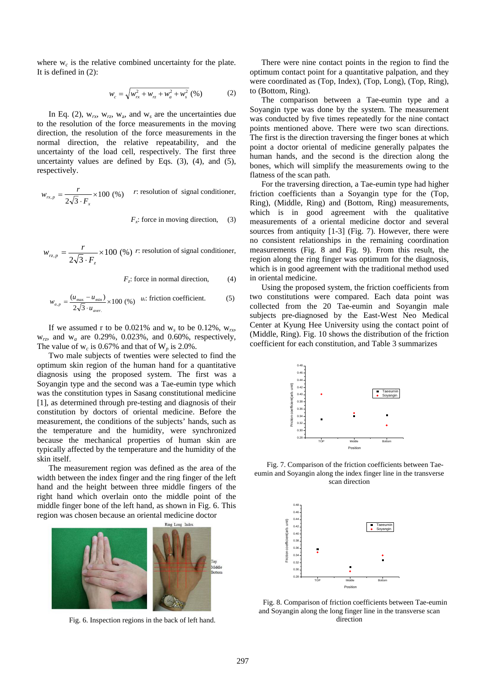where  $w_c$  is the relative combined uncertainty for the plate. It is defined in (2):

$$
w_c = \sqrt{w_{rx}^2 + w_{rz} + w_a^2 + w_s^2} (%)
$$
 (2)

In Eq. (2),  $w_{rx}$ ,  $w_{rz}$ ,  $w_a$ , and  $w_s$  are the uncertainties due to the resolution of the force measurements in the moving direction, the resolution of the force measurements in the normal direction, the relative repeatability, and the uncertainty of the load cell, respectively. The first three uncertainty values are defined by Eqs. (3), (4), and (5), respectively.

$$
w_{rx,p} = \frac{r}{2\sqrt{3} \cdot F_x} \times 100 \text{ (%)}
$$
 r: resolution of signal conditioner,

 $F_x$ : force in moving direction, (3)

$$
w_{rz,p} = \frac{r}{2\sqrt{3} \cdot F_z} \times 100 \text{ (%) } r \text{: resolution of signal conditioner,}
$$

 $F_z$ : force in normal direction, (4)

$$
w_{a,p} = \frac{(u_{\text{max}} - u_{\text{min}})}{2\sqrt{3} \cdot u_{\text{aver.}}}
$$
 × 100 (%)  $u_i$ : friction coefficient. (5)

If we assumed r to be  $0.021\%$  and w<sub>s</sub> to be  $0.12\%$ , w<sub>rx</sub>, w*rz*, and w*a* are 0.29%, 0.023%, and 0.60%, respectively, The value of  $w_c$  is 0.67% and that of  $W_p$  is 2.0%.

Two male subjects of twenties were selected to find the optimum skin region of the human hand for a quantitative diagnosis using the proposed system. The first was a Soyangin type and the second was a Tae-eumin type which was the constitution types in Sasang constitutional medicine [1], as determined through pre-testing and diagnosis of their constitution by doctors of oriental medicine. Before the measurement, the conditions of the subjects' hands, such as the temperature and the humidity, were synchronized because the mechanical properties of human skin are typically affected by the temperature and the humidity of the skin itself.

The measurement region was defined as the area of the width between the index finger and the ring finger of the left hand and the height between three middle fingers of the right hand which overlain onto the middle point of the middle finger bone of the left hand, as shown in Fig. 6. This region was chosen because an oriental medicine doctor



Fig. 6. Inspection regions in the back of left hand.

There were nine contact points in the region to find the optimum contact point for a quantitative palpation, and they were coordinated as (Top, Index), (Top, Long), (Top, Ring), to (Bottom, Ring).

The comparison between a Tae-eumin type and a Soyangin type was done by the system. The measurement was conducted by five times repeatedly for the nine contact points mentioned above. There were two scan directions. The first is the direction traversing the finger bones at which point a doctor oriental of medicine generally palpates the human hands, and the second is the direction along the bones, which will simplify the measurements owing to the flatness of the scan path.

For the traversing direction, a Tae-eumin type had higher friction coefficients than a Soyangin type for the (Top, Ring), (Middle, Ring) and (Bottom, Ring) measurements, which is in good agreement with the qualitative measurements of a oriental medicine doctor and several sources from antiquity [1-3] (Fig. 7). However, there were no consistent relationships in the remaining coordination measurements (Fig. 8 and Fig. 9). From this result, the region along the ring finger was optimum for the diagnosis, which is in good agreement with the traditional method used in oriental medicine.

Using the proposed system, the friction coefficients from two constitutions were compared. Each data point was collected from the 20 Tae-eumin and Soyangin male subjects pre-diagnosed by the East-West Neo Medical Center at Kyung Hee University using the contact point of (Middle, Ring). Fig. 10 shows the distribution of the friction coefficient for each constitution, and Table 3 summarizes



Fig. 7. Comparison of the friction coefficients between Taeeumin and Soyangin along the index finger line in the transverse scan direction



Fig. 8. Comparison of friction coefficients between Tae-eumin and Soyangin along the long finger line in the transverse scan direction